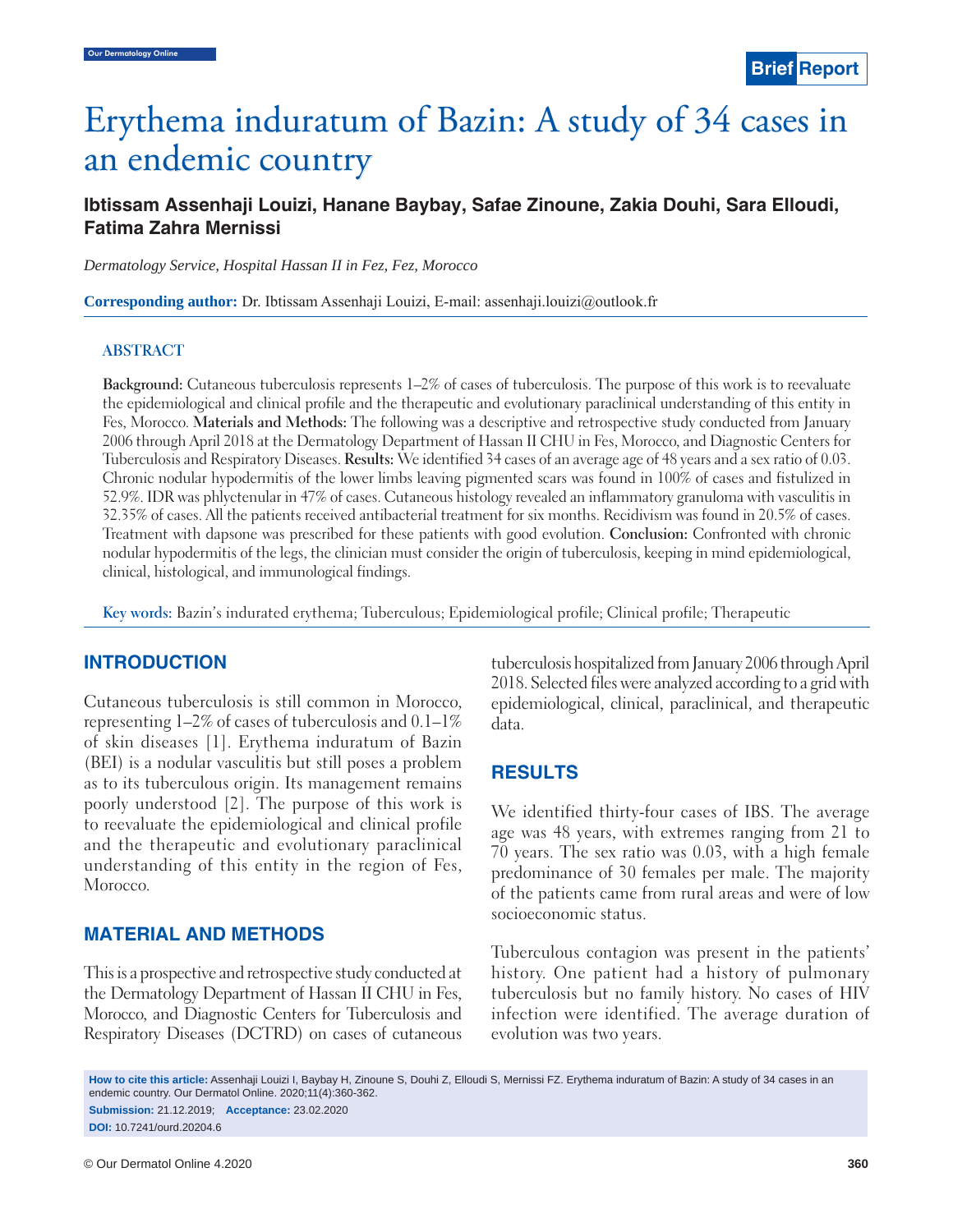# Erythema induratum of Bazin: A study of 34 cases in an endemic country

# **Ibtissam Assenhaji Louizi, Hanane Baybay, Safae Zinoune, Zakia Douhi, Sara Elloudi, Fatima Zahra Mernissi**

*Dermatology Service, Hospital Hassan II in Fez, Fez, Morocco*

**Corresponding author:** Dr. Ibtissam Assenhaji Louizi, E-mail: assenhaji.louizi@outlook.fr

### **ABSTRACT**

**Background:** Cutaneous tuberculosis represents 1–2% of cases of tuberculosis. The purpose of this work is to reevaluate the epidemiological and clinical profile and the therapeutic and evolutionary paraclinical understanding of this entity in Fes, Morocco. **Materials and Methods:** The following was a descriptive and retrospective study conducted from January 2006 through April 2018 at the Dermatology Department of Hassan II CHU in Fes, Morocco, and Diagnostic Centers for Tuberculosis and Respiratory Diseases. **Results:** We identified 34 cases of an average age of 48 years and a sex ratio of 0.03. Chronic nodular hypodermitis of the lower limbs leaving pigmented scars was found in 100% of cases and fistulized in 52.9%. IDR was phlyctenular in 47% of cases. Cutaneous histology revealed an inflammatory granuloma with vasculitis in 32.35% of cases. All the patients received antibacterial treatment for six months. Recidivism was found in 20.5% of cases. Treatment with dapsone was prescribed for these patients with good evolution. **Conclusion:** Confronted with chronic nodular hypodermitis of the legs, the clinician must consider the origin of tuberculosis, keeping in mind epidemiological, clinical, histological, and immunological findings.

**Key words:** Bazin's indurated erythema; Tuberculous; Epidemiological profile; Clinical profile; Therapeutic

## **INTRODUCTION**

Cutaneous tuberculosis is still common in Morocco, representing 1–2% of cases of tuberculosis and 0.1–1% of skin diseases [1]. Erythema induratum of Bazin (BEI) is a nodular vasculitis but still poses a problem as to its tuberculous origin. Its management remains poorly understood [2]. The purpose of this work is to reevaluate the epidemiological and clinical profile and the therapeutic and evolutionary paraclinical understanding of this entity in the region of Fes, Morocco.

## **MATERIAL AND METHODS**

This is a prospective and retrospective study conducted at the Dermatology Department of Hassan II CHU in Fes, Morocco, and Diagnostic Centers for Tuberculosis and Respiratory Diseases (DCTRD) on cases of cutaneous tuberculosis hospitalized from January 2006 through April 2018. Selected files were analyzed according to a grid with epidemiological, clinical, paraclinical, and therapeutic data.

# **RESULTS**

We identified thirty-four cases of IBS. The average age was 48 years, with extremes ranging from 21 to 70 years. The sex ratio was 0.03, with a high female predominance of 30 females per male. The majority of the patients came from rural areas and were of low socioeconomic status.

Tuberculous contagion was present in the patients' history. One patient had a history of pulmonary tuberculosis but no family history. No cases of HIV infection were identified. The average duration of evolution was two years.

**How to cite this article:** Assenhaji Louizi I, Baybay H, Zinoune S, Douhi Z, Elloudi S, Mernissi FZ. Erythema induratum of Bazin: A study of 34 cases in an endemic country. Our Dermatol Online. 2020;11(4):360-362.

**Submission:** 21.12.2019; **Acceptance:** 23.02.2020 **DOI:** 10.7241/ourd.20204.6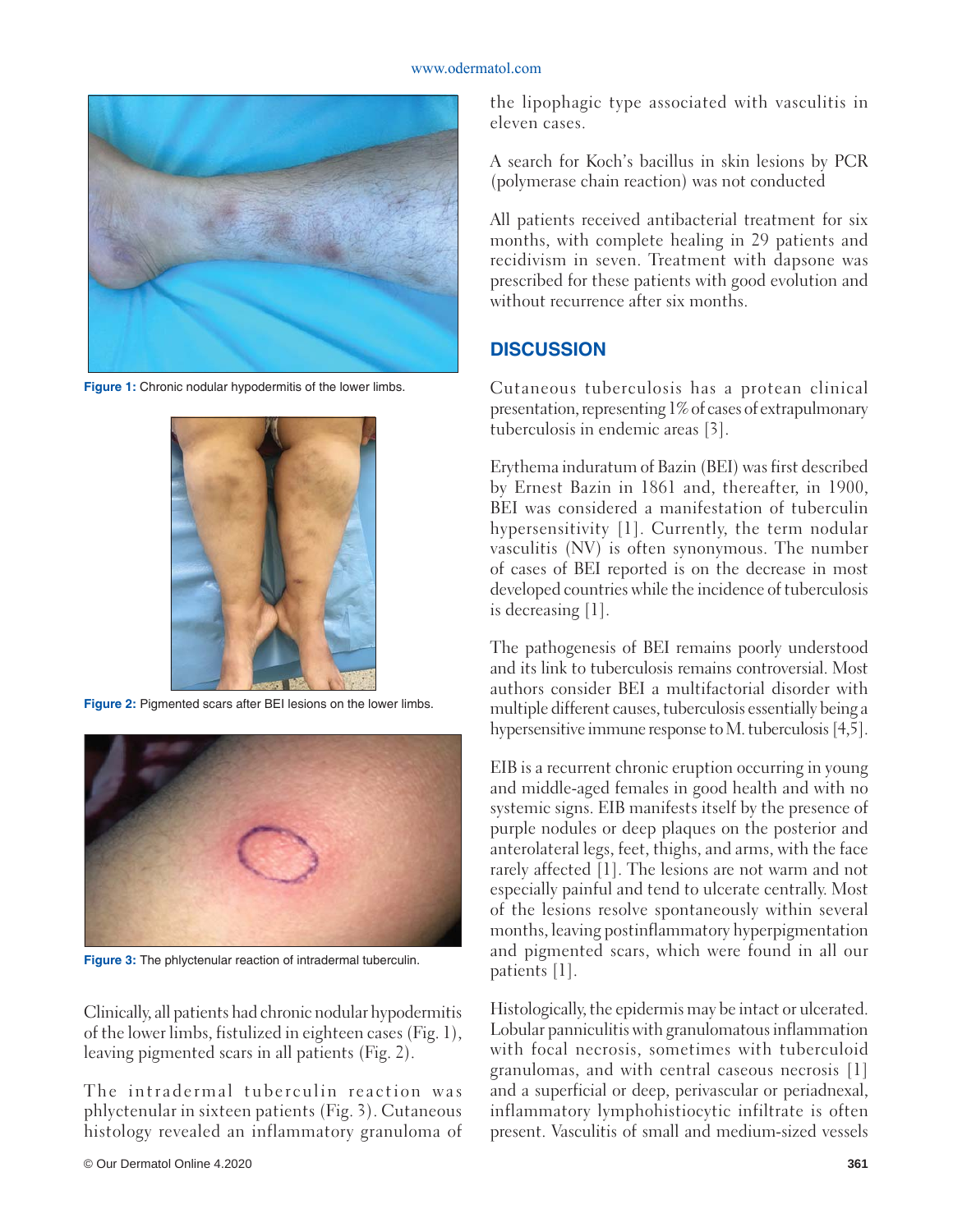#### www.odermatol.com



**Figure 1:** Chronic nodular hypodermitis of the lower limbs.



**Figure 2:** Pigmented scars after BEI lesions on the lower limbs.



**Figure 3:** The phlyctenular reaction of intradermal tuberculin.

Clinically, all patients had chronic nodular hypodermitis of the lower limbs, fistulized in eighteen cases (Fig. 1), leaving pigmented scars in all patients (Fig. 2).

The intradermal tuberculin reaction was phlyctenular in sixteen patients (Fig. 3). Cutaneous histology revealed an inflammatory granuloma of the lipophagic type associated with vasculitis in eleven cases.

A search for Koch's bacillus in skin lesions by PCR (polymerase chain reaction) was not conducted

All patients received antibacterial treatment for six months, with complete healing in 29 patients and recidivism in seven. Treatment with dapsone was prescribed for these patients with good evolution and without recurrence after six months.

# **DISCUSSION**

Cutaneous tuberculosis has a protean clinical presentation, representing 1% of cases of extrapulmonary tuberculosis in endemic areas [3].

Erythema induratum of Bazin (BEI) was first described by Ernest Bazin in 1861 and, thereafter, in 1900, BEI was considered a manifestation of tuberculin hypersensitivity [1]. Currently, the term nodular vasculitis (NV) is often synonymous. The number of cases of BEI reported is on the decrease in most developed countries while the incidence of tuberculosis is decreasing [1].

The pathogenesis of BEI remains poorly understood and its link to tuberculosis remains controversial. Most authors consider BEI a multifactorial disorder with multiple different causes, tuberculosis essentially being a hypersensitive immune response to M. tuberculosis [4,5].

EIB is a recurrent chronic eruption occurring in young and middle-aged females in good health and with no systemic signs. EIB manifests itself by the presence of purple nodules or deep plaques on the posterior and anterolateral legs, feet, thighs, and arms, with the face rarely affected [1]. The lesions are not warm and not especially painful and tend to ulcerate centrally. Most of the lesions resolve spontaneously within several months, leaving postinflammatory hyperpigmentation and pigmented scars, which were found in all our patients [1].

Histologically, the epidermis may be intact or ulcerated. Lobular panniculitis with granulomatous inflammation with focal necrosis, sometimes with tuberculoid granulomas, and with central caseous necrosis [1] and a superficial or deep, perivascular or periadnexal, inflammatory lymphohistiocytic infiltrate is often present. Vasculitis of small and medium-sized vessels